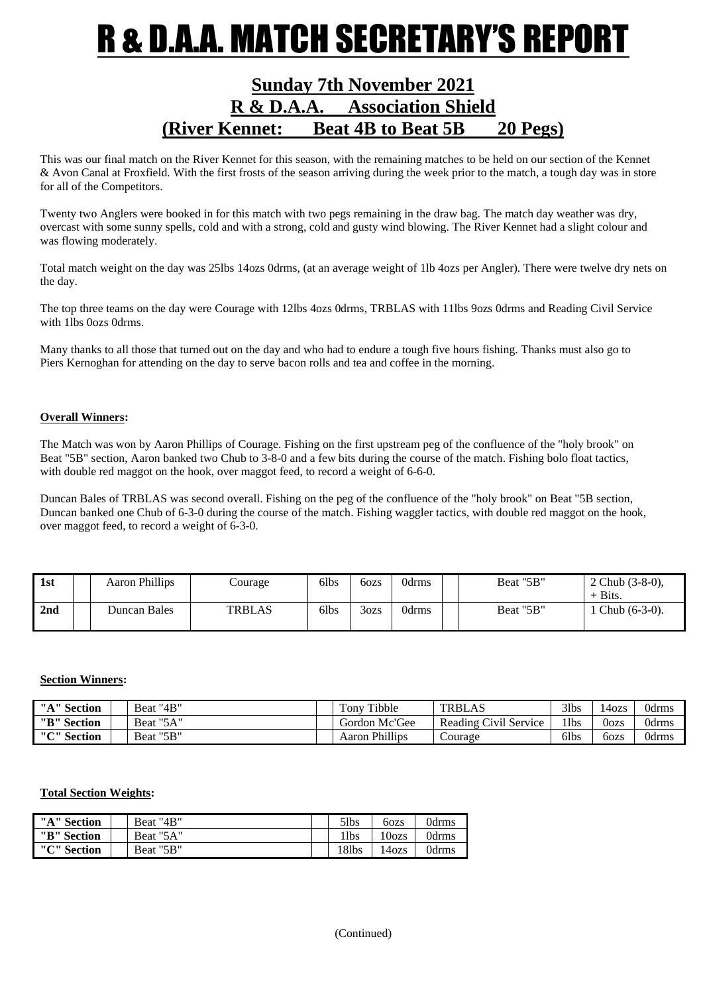## R & D.A.A. MATCH SECRETARY'S REPORT

### **Sunday 7th November 2021 R & D.A.A. Association Shield (River Kennet: Beat 4B to Beat 5B 20 Pegs)**

This was our final match on the River Kennet for this season, with the remaining matches to be held on our section of the Kennet & Avon Canal at Froxfield. With the first frosts of the season arriving during the week prior to the match, a tough day was in store for all of the Competitors.

Twenty two Anglers were booked in for this match with two pegs remaining in the draw bag. The match day weather was dry, overcast with some sunny spells, cold and with a strong, cold and gusty wind blowing. The River Kennet had a slight colour and was flowing moderately.

Total match weight on the day was 25lbs 14ozs 0drms, (at an average weight of 1lb 4ozs per Angler). There were twelve dry nets on the day.

The top three teams on the day were Courage with 12lbs 4ozs 0drms, TRBLAS with 11lbs 9ozs 0drms and Reading Civil Service with 1lbs 0ozs 0drms.

Many thanks to all those that turned out on the day and who had to endure a tough five hours fishing. Thanks must also go to Piers Kernoghan for attending on the day to serve bacon rolls and tea and coffee in the morning.

### **Overall Winners:**

The Match was won by Aaron Phillips of Courage. Fishing on the first upstream peg of the confluence of the "holy brook" on Beat "5B" section, Aaron banked two Chub to 3-8-0 and a few bits during the course of the match. Fishing bolo float tactics, with double red maggot on the hook, over maggot feed, to record a weight of 6-6-0.

Duncan Bales of TRBLAS was second overall. Fishing on the peg of the confluence of the "holy brook" on Beat "5B section, Duncan banked one Chub of 6-3-0 during the course of the match. Fishing waggler tactics, with double red maggot on the hook, over maggot feed, to record a weight of 6-3-0.

| 1st             | Aaron Phillips | Courage       | 6lbs | 60ZS | 0drms | Beat "5B" | 2 Chub $(3-8-0)$ ,<br>$+ Bits.$ |
|-----------------|----------------|---------------|------|------|-------|-----------|---------------------------------|
| 2 <sub>nd</sub> | Duncan Bales   | <b>TRBLAS</b> | 6lbs | 3ozs | 0drms | Beat "5B" | Chub $(6-3-0)$ .                |

#### **Section Winners:**

| "A" Section | : "4B"<br>Beat | $\sim$<br>Tibble<br>`onv | <b>TRBLAS</b>         | 3lbs | 14ozs | 0drms |
|-------------|----------------|--------------------------|-----------------------|------|-------|-------|
| "B" Section | Beat "5A"      | Gordon Mc'Gee            | Reading Civil Service | 11bs | 0ozs  | 0drms |
| "C" Section | Beat "5B"      | <b>Aaron Phillips</b>    | Courage               | 6lbs | 60ZS  | 0drms |

### **Total Section Weights:**

| "A" Section | Beat "4B" | 5lbs  | 60zs              | 0drms |
|-------------|-----------|-------|-------------------|-------|
| "B" Section | Beat "5A" | 11bs  | 10 <sub>ozs</sub> | 0drms |
| "C" Section | Beat "5B" | 18lbs | 14 <sub>ozs</sub> | 0drms |